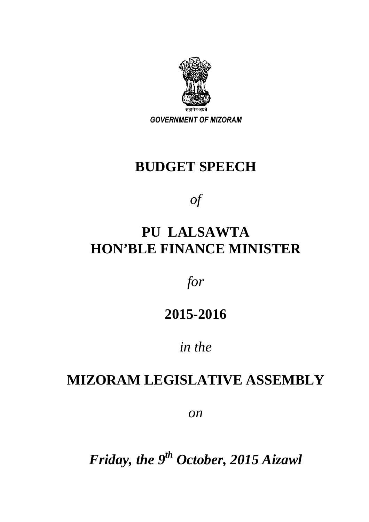

*GOVERNMENT OF MIZORAM* 

# **BUDGET SPEECH**

*of* 

# **PU LALSAWTA HON'BLE FINANCE MINISTER**

*for* 

# **2015-2016**

# *in the*

# **MIZORAM LEGISLATIVE ASSEMBLY**

*on* 

*Friday, the 9th October, 2015 Aizawl*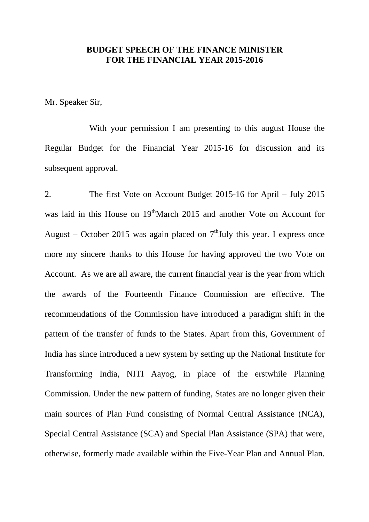## **BUDGET SPEECH OF THE FINANCE MINISTER FOR THE FINANCIAL YEAR 2015-2016**

Mr. Speaker Sir,

 With your permission I am presenting to this august House the Regular Budget for the Financial Year 2015-16 for discussion and its subsequent approval.

2. The first Vote on Account Budget 2015-16 for April – July 2015 was laid in this House on 19<sup>th</sup>March 2015 and another Vote on Account for August – October 2015 was again placed on  $7<sup>th</sup>$  July this year. I express once more my sincere thanks to this House for having approved the two Vote on Account. As we are all aware, the current financial year is the year from which the awards of the Fourteenth Finance Commission are effective. The recommendations of the Commission have introduced a paradigm shift in the pattern of the transfer of funds to the States. Apart from this, Government of India has since introduced a new system by setting up the National Institute for Transforming India, NITI Aayog, in place of the erstwhile Planning Commission. Under the new pattern of funding, States are no longer given their main sources of Plan Fund consisting of Normal Central Assistance (NCA), Special Central Assistance (SCA) and Special Plan Assistance (SPA) that were, otherwise, formerly made available within the Five-Year Plan and Annual Plan.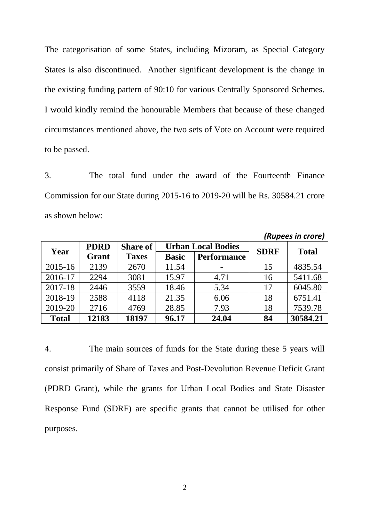The categorisation of some States, including Mizoram, as Special Category States is also discontinued. Another significant development is the change in the existing funding pattern of 90:10 for various Centrally Sponsored Schemes. I would kindly remind the honourable Members that because of these changed circumstances mentioned above, the two sets of Vote on Account were required to be passed.

3. The total fund under the award of the Fourteenth Finance Commission for our State during 2015-16 to 2019-20 will be Rs. 30584.21 crore as shown below:

| ן הטוון נווער נווין |             |                 |              |                           |             |              |
|---------------------|-------------|-----------------|--------------|---------------------------|-------------|--------------|
| Year                | <b>PDRD</b> | <b>Share of</b> |              | <b>Urban Local Bodies</b> | <b>SDRF</b> | <b>Total</b> |
|                     | Grant       | <b>Taxes</b>    | <b>Basic</b> | <b>Performance</b>        |             |              |
| $2015 - 16$         | 2139        | 2670            | 11.54        |                           | 15          | 4835.54      |
| 2016-17             | 2294        | 3081            | 15.97        | 4.71                      | 16          | 5411.68      |
| 2017-18             | 2446        | 3559            | 18.46        | 5.34                      | 17          | 6045.80      |
| 2018-19             | 2588        | 4118            | 21.35        | 6.06                      | 18          | 6751.41      |
| 2019-20             | 2716        | 4769            | 28.85        | 7.93                      | 18          | 7539.78      |
| <b>Total</b>        | 12183       | 18197           | 96.17        | 24.04                     | 84          | 30584.21     |

*(Rupees in crore)* 

4. The main sources of funds for the State during these 5 years will consist primarily of Share of Taxes and Post-Devolution Revenue Deficit Grant (PDRD Grant), while the grants for Urban Local Bodies and State Disaster Response Fund (SDRF) are specific grants that cannot be utilised for other purposes.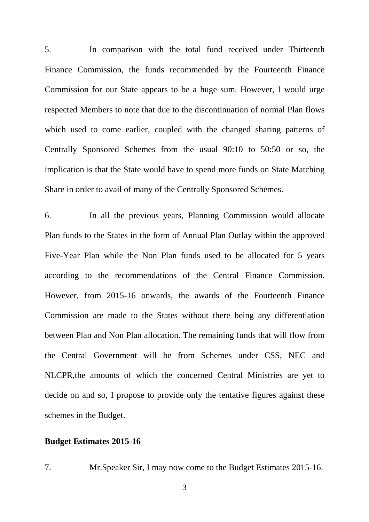5. In comparison with the total fund received under Thirteenth Finance Commission, the funds recommended by the Fourteenth Finance Commission for our State appears to be a huge sum. However, I would urge respected Members to note that due to the discontinuation of normal Plan flows which used to come earlier, coupled with the changed sharing patterns of Centrally Sponsored Schemes from the usual 90:10 to 50:50 or so, the implication is that the State would have to spend more funds on State Matching Share in order to avail of many of the Centrally Sponsored Schemes.

6. In all the previous years, Planning Commission would allocate Plan funds to the States in the form of Annual Plan Outlay within the approved Five-Year Plan while the Non Plan funds used to be allocated for 5 years according to the recommendations of the Central Finance Commission. However, from 2015-16 onwards, the awards of the Fourteenth Finance Commission are made to the States without there being any differentiation between Plan and Non Plan allocation. The remaining funds that will flow from the Central Government will be from Schemes under CSS, NEC and NLCPR,the amounts of which the concerned Central Ministries are yet to decide on and so, I propose to provide only the tentative figures against these schemes in the Budget.

### **Budget Estimates 2015-16**

7. Mr.Speaker Sir, I may now come to the Budget Estimates 2015-16.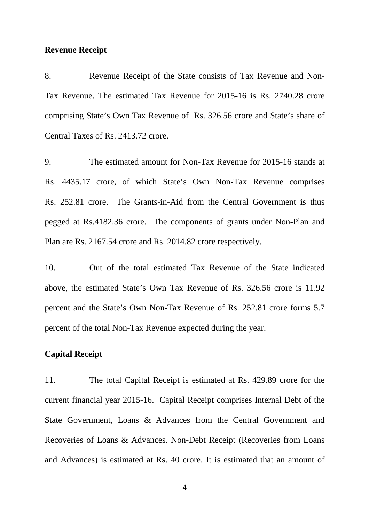#### **Revenue Receipt**

8. Revenue Receipt of the State consists of Tax Revenue and Non-Tax Revenue. The estimated Tax Revenue for 2015-16 is Rs. 2740.28 crore comprising State's Own Tax Revenue of Rs. 326.56 crore and State's share of Central Taxes of Rs. 2413.72 crore.

9. The estimated amount for Non-Tax Revenue for 2015-16 stands at Rs. 4435.17 crore, of which State's Own Non-Tax Revenue comprises Rs. 252.81 crore. The Grants-in-Aid from the Central Government is thus pegged at Rs.4182.36 crore. The components of grants under Non-Plan and Plan are Rs. 2167.54 crore and Rs. 2014.82 crore respectively.

10. Out of the total estimated Tax Revenue of the State indicated above, the estimated State's Own Tax Revenue of Rs. 326.56 crore is 11.92 percent and the State's Own Non-Tax Revenue of Rs. 252.81 crore forms 5.7 percent of the total Non-Tax Revenue expected during the year.

### **Capital Receipt**

11. The total Capital Receipt is estimated at Rs. 429.89 crore for the current financial year 2015-16. Capital Receipt comprises Internal Debt of the State Government, Loans & Advances from the Central Government and Recoveries of Loans & Advances. Non-Debt Receipt (Recoveries from Loans and Advances) is estimated at Rs. 40 crore. It is estimated that an amount of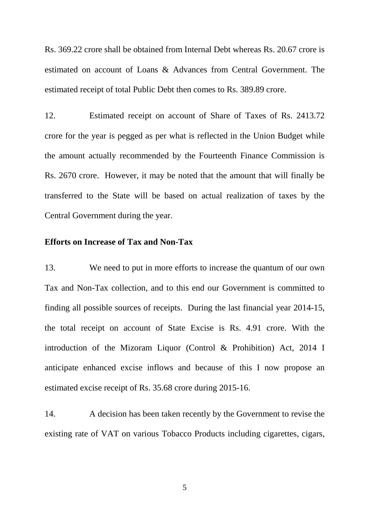Rs. 369.22 crore shall be obtained from Internal Debt whereas Rs. 20.67 crore is estimated on account of Loans & Advances from Central Government. The estimated receipt of total Public Debt then comes to Rs. 389.89 crore.

12. Estimated receipt on account of Share of Taxes of Rs. 2413.72 crore for the year is pegged as per what is reflected in the Union Budget while the amount actually recommended by the Fourteenth Finance Commission is Rs. 2670 crore. However, it may be noted that the amount that will finally be transferred to the State will be based on actual realization of taxes by the Central Government during the year.

# **Efforts on Increase of Tax and Non-Tax**

13. We need to put in more efforts to increase the quantum of our own Tax and Non-Tax collection, and to this end our Government is committed to finding all possible sources of receipts. During the last financial year 2014-15, the total receipt on account of State Excise is Rs. 4.91 crore. With the introduction of the Mizoram Liquor (Control & Prohibition) Act, 2014 I anticipate enhanced excise inflows and because of this I now propose an estimated excise receipt of Rs. 35.68 crore during 2015-16.

14. A decision has been taken recently by the Government to revise the existing rate of VAT on various Tobacco Products including cigarettes, cigars,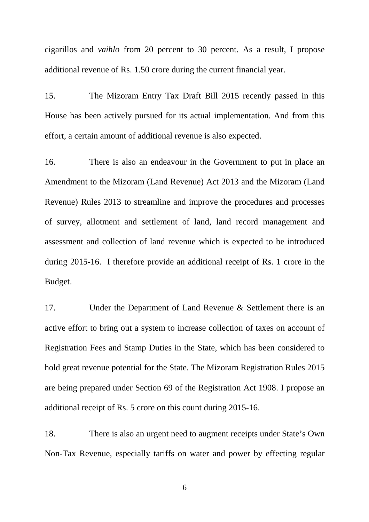cigarillos and *vaihlo* from 20 percent to 30 percent. As a result, I propose additional revenue of Rs. 1.50 crore during the current financial year.

15. The Mizoram Entry Tax Draft Bill 2015 recently passed in this House has been actively pursued for its actual implementation. And from this effort, a certain amount of additional revenue is also expected.

16. There is also an endeavour in the Government to put in place an Amendment to the Mizoram (Land Revenue) Act 2013 and the Mizoram (Land Revenue) Rules 2013 to streamline and improve the procedures and processes of survey, allotment and settlement of land, land record management and assessment and collection of land revenue which is expected to be introduced during 2015-16. I therefore provide an additional receipt of Rs. 1 crore in the Budget.

17. Under the Department of Land Revenue & Settlement there is an active effort to bring out a system to increase collection of taxes on account of Registration Fees and Stamp Duties in the State, which has been considered to hold great revenue potential for the State. The Mizoram Registration Rules 2015 are being prepared under Section 69 of the Registration Act 1908. I propose an additional receipt of Rs. 5 crore on this count during 2015-16.

18. There is also an urgent need to augment receipts under State's Own Non-Tax Revenue, especially tariffs on water and power by effecting regular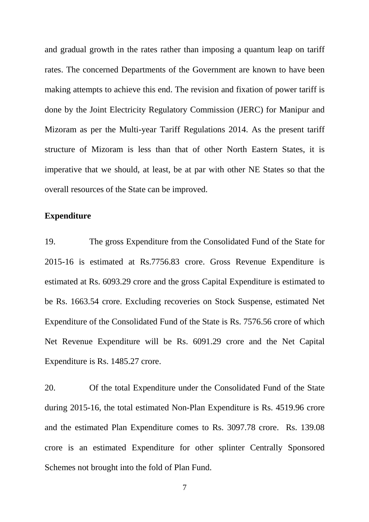and gradual growth in the rates rather than imposing a quantum leap on tariff rates. The concerned Departments of the Government are known to have been making attempts to achieve this end. The revision and fixation of power tariff is done by the Joint Electricity Regulatory Commission (JERC) for Manipur and Mizoram as per the Multi-year Tariff Regulations 2014. As the present tariff structure of Mizoram is less than that of other North Eastern States, it is imperative that we should, at least, be at par with other NE States so that the overall resources of the State can be improved.

## **Expenditure**

19. The gross Expenditure from the Consolidated Fund of the State for 2015-16 is estimated at Rs.7756.83 crore. Gross Revenue Expenditure is estimated at Rs. 6093.29 crore and the gross Capital Expenditure is estimated to be Rs. 1663.54 crore. Excluding recoveries on Stock Suspense, estimated Net Expenditure of the Consolidated Fund of the State is Rs. 7576.56 crore of which Net Revenue Expenditure will be Rs. 6091.29 crore and the Net Capital Expenditure is Rs. 1485.27 crore.

20. Of the total Expenditure under the Consolidated Fund of the State during 2015-16, the total estimated Non-Plan Expenditure is Rs. 4519.96 crore and the estimated Plan Expenditure comes to Rs. 3097.78 crore. Rs. 139.08 crore is an estimated Expenditure for other splinter Centrally Sponsored Schemes not brought into the fold of Plan Fund.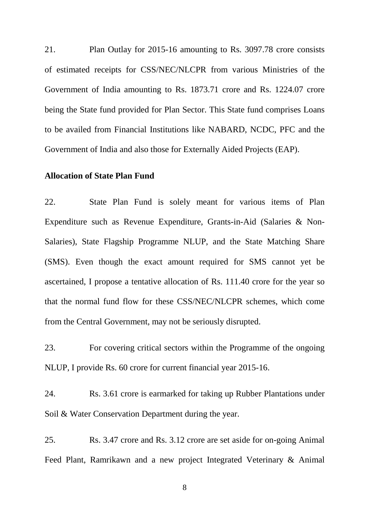21. Plan Outlay for 2015-16 amounting to Rs. 3097.78 crore consists of estimated receipts for CSS/NEC/NLCPR from various Ministries of the Government of India amounting to Rs. 1873.71 crore and Rs. 1224.07 crore being the State fund provided for Plan Sector. This State fund comprises Loans to be availed from Financial Institutions like NABARD, NCDC, PFC and the Government of India and also those for Externally Aided Projects (EAP).

## **Allocation of State Plan Fund**

22. State Plan Fund is solely meant for various items of Plan Expenditure such as Revenue Expenditure, Grants-in-Aid (Salaries & Non-Salaries), State Flagship Programme NLUP, and the State Matching Share (SMS). Even though the exact amount required for SMS cannot yet be ascertained, I propose a tentative allocation of Rs. 111.40 crore for the year so that the normal fund flow for these CSS/NEC/NLCPR schemes, which come from the Central Government, may not be seriously disrupted.

23. For covering critical sectors within the Programme of the ongoing NLUP, I provide Rs. 60 crore for current financial year 2015-16.

24. Rs. 3.61 crore is earmarked for taking up Rubber Plantations under Soil & Water Conservation Department during the year.

25. Rs. 3.47 crore and Rs. 3.12 crore are set aside for on-going Animal Feed Plant, Ramrikawn and a new project Integrated Veterinary & Animal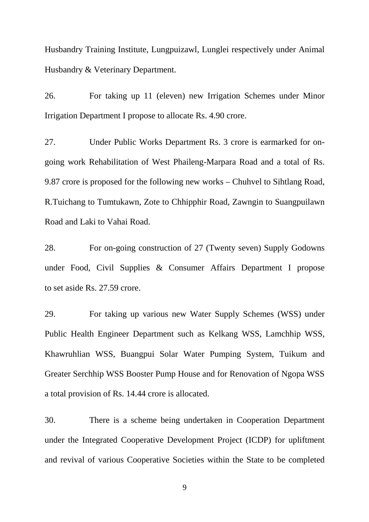Husbandry Training Institute, Lungpuizawl, Lunglei respectively under Animal Husbandry & Veterinary Department.

26. For taking up 11 (eleven) new Irrigation Schemes under Minor Irrigation Department I propose to allocate Rs. 4.90 crore.

27. Under Public Works Department Rs. 3 crore is earmarked for ongoing work Rehabilitation of West Phaileng-Marpara Road and a total of Rs. 9.87 crore is proposed for the following new works – Chuhvel to Sihtlang Road, R.Tuichang to Tumtukawn, Zote to Chhipphir Road, Zawngin to Suangpuilawn Road and Laki to Vahai Road.

28. For on-going construction of 27 (Twenty seven) Supply Godowns under Food, Civil Supplies & Consumer Affairs Department I propose to set aside Rs. 27.59 crore.

29. For taking up various new Water Supply Schemes (WSS) under Public Health Engineer Department such as Kelkang WSS, Lamchhip WSS, Khawruhlian WSS, Buangpui Solar Water Pumping System, Tuikum and Greater Serchhip WSS Booster Pump House and for Renovation of Ngopa WSS a total provision of Rs. 14.44 crore is allocated.

30. There is a scheme being undertaken in Cooperation Department under the Integrated Cooperative Development Project (ICDP) for upliftment and revival of various Cooperative Societies within the State to be completed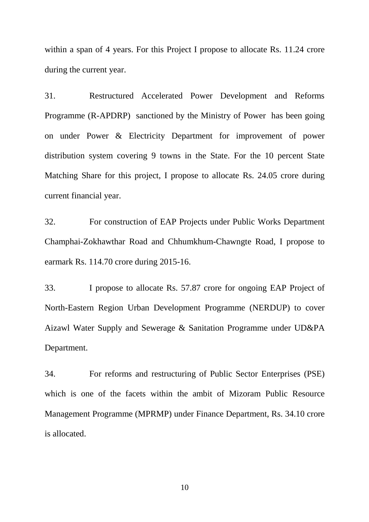within a span of 4 years. For this Project I propose to allocate Rs. 11.24 crore during the current year.

31. Restructured Accelerated Power Development and Reforms Programme (R-APDRP) sanctioned by the Ministry of Power has been going on under Power & Electricity Department for improvement of power distribution system covering 9 towns in the State. For the 10 percent State Matching Share for this project, I propose to allocate Rs. 24.05 crore during current financial year.

32. For construction of EAP Projects under Public Works Department Champhai-Zokhawthar Road and Chhumkhum-Chawngte Road, I propose to earmark Rs. 114.70 crore during 2015-16.

33. I propose to allocate Rs. 57.87 crore for ongoing EAP Project of North-Eastern Region Urban Development Programme (NERDUP) to cover Aizawl Water Supply and Sewerage & Sanitation Programme under UD&PA Department.

34. For reforms and restructuring of Public Sector Enterprises (PSE) which is one of the facets within the ambit of Mizoram Public Resource Management Programme (MPRMP) under Finance Department, Rs. 34.10 crore is allocated.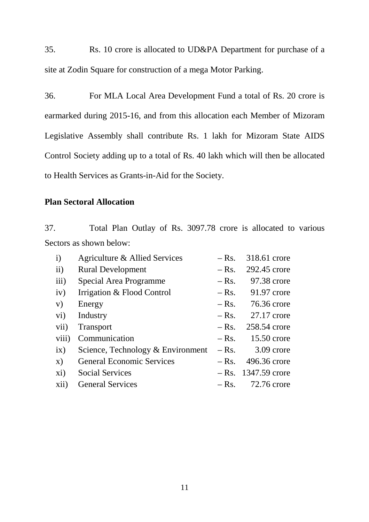35. Rs. 10 crore is allocated to UD&PA Department for purchase of a site at Zodin Square for construction of a mega Motor Parking.

36. For MLA Local Area Development Fund a total of Rs. 20 crore is earmarked during 2015-16, and from this allocation each Member of Mizoram Legislative Assembly shall contribute Rs. 1 lakh for Mizoram State AIDS Control Society adding up to a total of Rs. 40 lakh which will then be allocated to Health Services as Grants-in-Aid for the Society.

# **Plan Sectoral Allocation**

37. Total Plan Outlay of Rs. 3097.78 crore is allocated to various Sectors as shown below:

| $\mathbf{i}$   | Agriculture & Allied Services     | $-Rs.$  | 318.61 crore          |
|----------------|-----------------------------------|---------|-----------------------|
| ii)            | <b>Rural Development</b>          | $-Rs.$  | 292.45 crore          |
| iii)           | Special Area Programme            | $-$ Rs. | 97.38 crore           |
| iv)            | Irrigation & Flood Control        |         | $-Rs.$ 91.97 crore    |
| V)             | Energy                            |         | $-Rs.$ 76.36 crore    |
| $\mathbf{vi})$ | Industry                          | $-Rs.$  | 27.17 crore           |
| vii)           | <b>Transport</b>                  | $-$ Rs. | 258.54 crore          |
| viii)          | Communication                     |         | $-Rs.$ 15.50 crore    |
| $i\mathbf{x})$ | Science, Technology & Environment |         | $-Rs.$ 3.09 crore     |
| $\mathbf{x})$  | <b>General Economic Services</b>  | $-$ Rs. | 496.36 crore          |
| xi)            | <b>Social Services</b>            |         | $-$ Rs. 1347.59 crore |
| xii)           | <b>General Services</b>           |         | $-Rs.$ 72.76 crore    |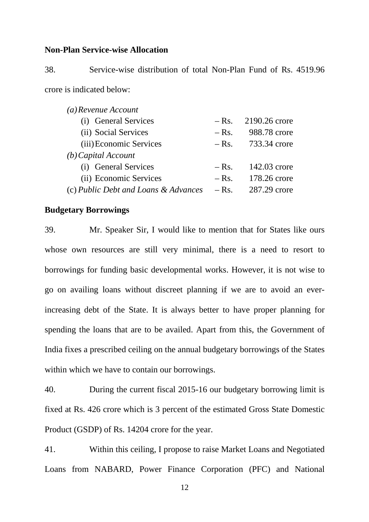### **Non-Plan Service-wise Allocation**

38. Service-wise distribution of total Non-Plan Fund of Rs. 4519.96 crore is indicated below:

| $(a)$ Revenue Account                |         |               |  |  |
|--------------------------------------|---------|---------------|--|--|
| (i) General Services                 | $-Rs.$  | 2190.26 crore |  |  |
| (ii) Social Services                 | $-Rs.$  | 988.78 crore  |  |  |
| (iii) Economic Services              | $-$ Rs. | 733.34 crore  |  |  |
| $(b)$ Capital Account                |         |               |  |  |
| (i) General Services                 | $-$ Rs. | 142.03 crore  |  |  |
| (ii) Economic Services               | $-$ Rs. | 178.26 crore  |  |  |
| (c) Public Debt and Loans & Advances | $-$ Rs. | 287.29 crore  |  |  |

#### **Budgetary Borrowings**

39. Mr. Speaker Sir, I would like to mention that for States like ours whose own resources are still very minimal, there is a need to resort to borrowings for funding basic developmental works. However, it is not wise to go on availing loans without discreet planning if we are to avoid an everincreasing debt of the State. It is always better to have proper planning for spending the loans that are to be availed. Apart from this, the Government of India fixes a prescribed ceiling on the annual budgetary borrowings of the States within which we have to contain our borrowings.

40. During the current fiscal 2015-16 our budgetary borrowing limit is fixed at Rs. 426 crore which is 3 percent of the estimated Gross State Domestic Product (GSDP) of Rs. 14204 crore for the year.

41. Within this ceiling, I propose to raise Market Loans and Negotiated Loans from NABARD, Power Finance Corporation (PFC) and National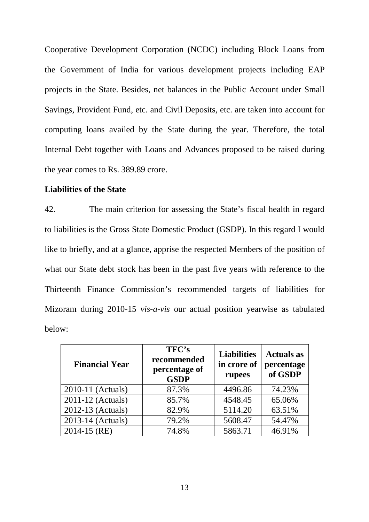Cooperative Development Corporation (NCDC) including Block Loans from the Government of India for various development projects including EAP projects in the State. Besides, net balances in the Public Account under Small Savings, Provident Fund, etc. and Civil Deposits, etc. are taken into account for computing loans availed by the State during the year. Therefore, the total Internal Debt together with Loans and Advances proposed to be raised during the year comes to Rs. 389.89 crore.

### **Liabilities of the State**

42. The main criterion for assessing the State's fiscal health in regard to liabilities is the Gross State Domestic Product (GSDP). In this regard I would like to briefly, and at a glance, apprise the respected Members of the position of what our State debt stock has been in the past five years with reference to the Thirteenth Finance Commission's recommended targets of liabilities for Mizoram during 2010-15 *vis-a-vis* our actual position yearwise as tabulated below:

| <b>Financial Year</b> | TFC's<br>recommended<br>percentage of<br><b>GSDP</b> | <b>Liabilities</b><br>in crore of<br>rupees | <b>Actuals as</b><br>percentage<br>of GSDP |
|-----------------------|------------------------------------------------------|---------------------------------------------|--------------------------------------------|
| 2010-11 (Actuals)     | 87.3%                                                | 4496.86                                     | 74.23%                                     |
| 2011-12 (Actuals)     | 85.7%                                                | 4548.45                                     | 65.06%                                     |
| 2012-13 (Actuals)     | 82.9%                                                | 5114.20                                     | 63.51%                                     |
| 2013-14 (Actuals)     | 79.2%                                                | 5608.47                                     | 54.47%                                     |
| $2014 - 15$ (RE)      | 74.8%                                                | 5863.71                                     | 46.91%                                     |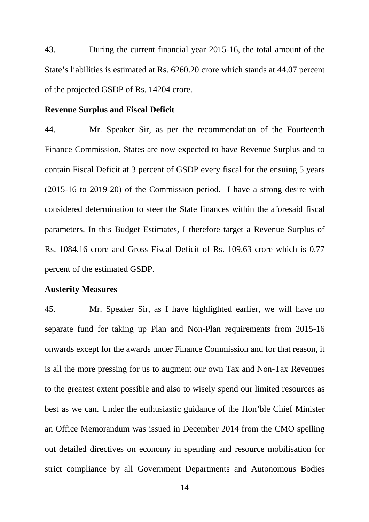43. During the current financial year 2015-16, the total amount of the State's liabilities is estimated at Rs. 6260.20 crore which stands at 44.07 percent of the projected GSDP of Rs. 14204 crore.

#### **Revenue Surplus and Fiscal Deficit**

44. Mr. Speaker Sir, as per the recommendation of the Fourteenth Finance Commission, States are now expected to have Revenue Surplus and to contain Fiscal Deficit at 3 percent of GSDP every fiscal for the ensuing 5 years (2015-16 to 2019-20) of the Commission period. I have a strong desire with considered determination to steer the State finances within the aforesaid fiscal parameters. In this Budget Estimates, I therefore target a Revenue Surplus of Rs. 1084.16 crore and Gross Fiscal Deficit of Rs. 109.63 crore which is 0.77 percent of the estimated GSDP.

### **Austerity Measures**

45. Mr. Speaker Sir, as I have highlighted earlier, we will have no separate fund for taking up Plan and Non-Plan requirements from 2015-16 onwards except for the awards under Finance Commission and for that reason, it is all the more pressing for us to augment our own Tax and Non-Tax Revenues to the greatest extent possible and also to wisely spend our limited resources as best as we can. Under the enthusiastic guidance of the Hon'ble Chief Minister an Office Memorandum was issued in December 2014 from the CMO spelling out detailed directives on economy in spending and resource mobilisation for strict compliance by all Government Departments and Autonomous Bodies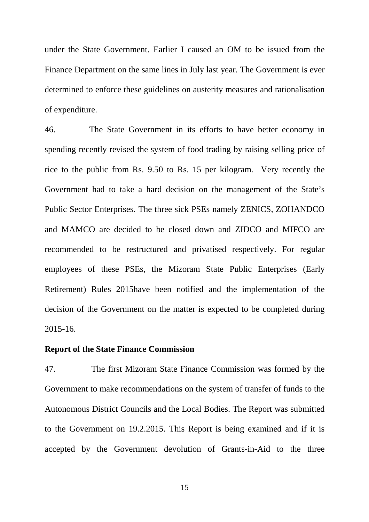under the State Government. Earlier I caused an OM to be issued from the Finance Department on the same lines in July last year. The Government is ever determined to enforce these guidelines on austerity measures and rationalisation of expenditure.

46. The State Government in its efforts to have better economy in spending recently revised the system of food trading by raising selling price of rice to the public from Rs. 9.50 to Rs. 15 per kilogram. Very recently the Government had to take a hard decision on the management of the State's Public Sector Enterprises. The three sick PSEs namely ZENICS, ZOHANDCO and MAMCO are decided to be closed down and ZIDCO and MIFCO are recommended to be restructured and privatised respectively. For regular employees of these PSEs, the Mizoram State Public Enterprises (Early Retirement) Rules 2015have been notified and the implementation of the decision of the Government on the matter is expected to be completed during 2015-16.

# **Report of the State Finance Commission**

47. The first Mizoram State Finance Commission was formed by the Government to make recommendations on the system of transfer of funds to the Autonomous District Councils and the Local Bodies. The Report was submitted to the Government on 19.2.2015. This Report is being examined and if it is accepted by the Government devolution of Grants-in-Aid to the three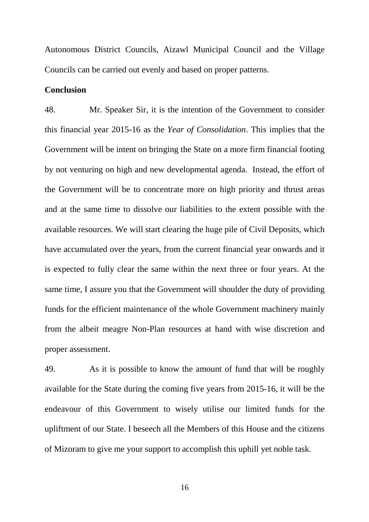Autonomous District Councils, Aizawl Municipal Council and the Village Councils can be carried out evenly and based on proper patterns.

#### **Conclusion**

48. Mr. Speaker Sir, it is the intention of the Government to consider this financial year 2015-16 as the *Year of Consolidation*. This implies that the Government will be intent on bringing the State on a more firm financial footing by not venturing on high and new developmental agenda. Instead, the effort of the Government will be to concentrate more on high priority and thrust areas and at the same time to dissolve our liabilities to the extent possible with the available resources. We will start clearing the huge pile of Civil Deposits, which have accumulated over the years, from the current financial year onwards and it is expected to fully clear the same within the next three or four years. At the same time, I assure you that the Government will shoulder the duty of providing funds for the efficient maintenance of the whole Government machinery mainly from the albeit meagre Non-Plan resources at hand with wise discretion and proper assessment.

49. As it is possible to know the amount of fund that will be roughly available for the State during the coming five years from 2015-16, it will be the endeavour of this Government to wisely utilise our limited funds for the upliftment of our State. I beseech all the Members of this House and the citizens of Mizoram to give me your support to accomplish this uphill yet noble task.